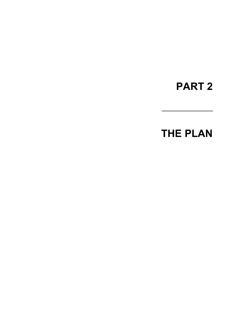# **PART 2**

# **THE PLAN**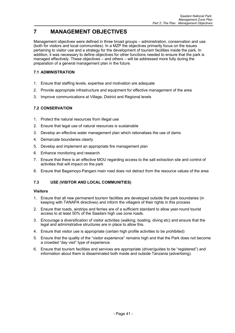# **7 MANAGEMENT OBJECTIVES**

Management objectives were defined in three broad groups – administration, conservation and use (both for visitors and local communities). In a MZP the objectives primarily focus on the issues pertaining to visitor use and a strategy for the development of tourism facilities inside the park. In addition, it was necessary to define objectives for other functions needed to ensure that the park is managed effectively. These objectives – and others – will be addressed more fully during the preparation of a general management plan in the future.

#### **7.1 ADMINISTRATION**

- 1. Ensure that staffing levels, expertise and motivation are adequate
- 2. Provide appropriate infrastructure and equipment for effective management of the area
- 3. Improve communications at Village, District and Regional levels

#### **7.2 CONSERVATION**

- 1. Protect the natural resources from illegal use
- 2. Ensure that legal use of natural resources is sustainable
- 3. Develop an effective water management plan which rationalises the use of dams
- 4. Demarcate boundaries clearly
- 5. Develop and implement an appropriate fire management plan
- 6. Enhance monitoring and research
- 7. Ensure that there is an effective MOU regarding access to the salt extraction site and control of activities that will impact on the park
- 8. Ensure that Bagamoyo-Pangani main road does not detract from the resource values of the area

#### **7.3 USE (VISITOR AND LOCAL COMMUNITIES)**

#### **Visitors**

- 1. Ensure that all new permanent tourism facilities are developed outside the park boundaries (in keeping with TANAPA directives) and inform the villagers of their rights in this process
- 2. Ensure that roads, airstrips and ferries are of a sufficient standard to allow year-round tourist access to at least 50% of the Saadani high use zone roads.
- 3. Encourage a diversification of visitor activities (walking, boating, diving etc) and ensure that the legal and administrative structures are in place to allow this.
- 4. Ensure that visitor use is appropriate (certain high profile activities to be prohibited)
- 5. Ensure that the quality of the "visitor experience" remains high and that the Park does not become a crowded "day visit" type of experience.
- 6. Ensure that tourism facilities and services are appropriate (driver/guides to be "registered") and information about them is disseminated both inside and outside Tanzania (advertising).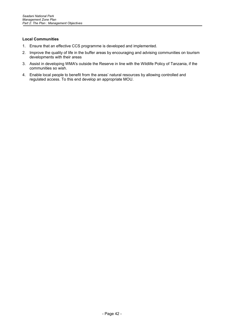#### **Local Communities**

- 1. Ensure that an effective CCS programme is developed and implemented.
- 2. Improve the quality of life in the buffer areas by encouraging and advising communities on tourism developments with their areas
- 3. Assist in developing WMA's outside the Reserve in line with the Wildlife Policy of Tanzania, if the communities so wish.
- 4. Enable local people to benefit from the areas' natural resources by allowing controlled and regulated access. To this end develop an appropriate MOU.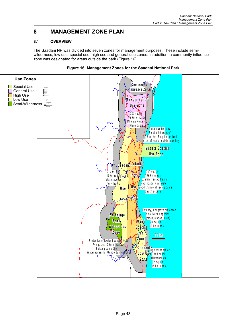## **8 MANAGEMENT ZONE PLAN**

#### **8.1 OVERVIEW**

The Saadani NP was divided into seven zones for management purposes. These include semiwilderness, low use, special use, high use and general use zones. In addition, a community influence zone was designated for areas outside the park (Figure 16).



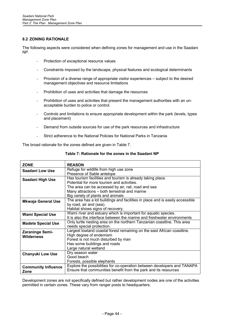#### **8.2 ZONING RATIONALE**

The following aspects were considered when defining zones for management and use in the Saadani NP.

- Protection of exceptional resource values
- Constraints imposed by the landscape, physical features and ecological determinants
- Provision of a diverse range of appropriate visitor experiences subject to the desired management objectives and resource limitations
- Prohibition of uses and activities that damage the resources
- Prohibition of uses and activities that present the management authorities with an unacceptable burden to police or control.
- Controls and limitations to ensure appropriate development within the park (levels, types and placement)
- Demand from outside sources for use of the park resources and infrastructure
- Strict adherence to the National Policies for National Parks in Tanzania

The broad rationale for the zones defined are given in Table 7.

| The area has a lot buildings and facilities in place and is easily accessible                                                                      |
|----------------------------------------------------------------------------------------------------------------------------------------------------|
|                                                                                                                                                    |
|                                                                                                                                                    |
|                                                                                                                                                    |
|                                                                                                                                                    |
|                                                                                                                                                    |
|                                                                                                                                                    |
|                                                                                                                                                    |
|                                                                                                                                                    |
|                                                                                                                                                    |
|                                                                                                                                                    |
|                                                                                                                                                    |
|                                                                                                                                                    |
|                                                                                                                                                    |
|                                                                                                                                                    |
| Explore the possibilities for co-operation between developers and TANAPA                                                                           |
|                                                                                                                                                    |
| It is also the interface between the marine and freshwater environments<br>Only turtle nesting area on the northern Tanzanian coastline. This area |

**Table 7: Rationale for the zones in the Saadani NP**

Development zones are not specifically defined but rather development nodes are one of the activities permitted in certain zones. These vary from ranger posts to headquarters.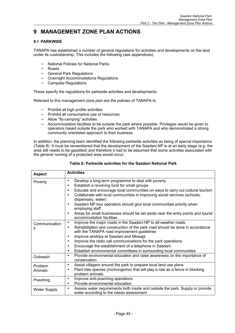### **9 MANAGEMENT ZONE PLAN ACTIONS**

#### **9.1 PARKWIDE**

TANAPA has established a number of general regulations for activities and developments on the land under its custodianship. This includes the following (see appendices).

- − National Policies for National Parks
- − Roads
- − General Park Regulations
- − Overnight Accommodations Regulations
- − Campsite Regulations

These specify the regulations for parkwide activities and developments.

Relevant to this management zone plan are the policies of TANAPA to

- − Prohibit all high profile activities
- − Prohibit all consumptive use of resources
- − Allow "fly-camping" activities
- − Accommodation facilities to be outside the park where possible. Privileges would be given to operators based outside the park who worked with TANAPA and who demonstrated a strong community orientated approach to their business.

In addition, the planning team identified the following parkwide activities as being of special importance (Table 8). It must be remembered that the development of the Saadani NP is at an early stage (e.g. the area still needs to be gazetted) and therefore it had to be assumed that some activities associated with the general running of a protected area would occur.

| Table 8: Parkwide activities for the Saadani National Park |  |  |  |
|------------------------------------------------------------|--|--|--|
|------------------------------------------------------------|--|--|--|

| <b>Aspect</b>       | <b>Activities</b>                                                                                                                         |
|---------------------|-------------------------------------------------------------------------------------------------------------------------------------------|
| Poverty             | Develop a long-term programme to deal with poverty<br>$\bullet$                                                                           |
|                     | Establish a revolving fund for small groups<br>$\bullet$                                                                                  |
|                     | Educate and encourage local communities on ways to carry out cultural tourism<br>$\bullet$                                                |
|                     | Collaborate with local communities in improving social services (schools,<br>$\bullet$<br>dispensary, water)                              |
|                     | Saadani NP tour operators should give local communities priority when<br>$\bullet$<br>employing staff                                     |
|                     | Areas for small businesses should be set aside near the entry points and tourist<br>$\bullet$<br>accommodation facilities                 |
| Communication       | Improve the major roads in the Saadani NP to all-weather roads<br>$\bullet$                                                               |
| s                   | Rehabilitation and construction of the park road should be done in accordance<br>$\bullet$<br>with the TANAPA road improvement guidelines |
|                     | Improve airstrips at Saadani and Mkwaja<br>$\bullet$                                                                                      |
|                     | Improve the radio call communications for the park operations<br>$\bullet$                                                                |
|                     | Encourage the establishment of a telephone in Saadani<br>$\bullet$                                                                        |
|                     | Establish environmental committees in surrounding local communities<br>$\bullet$                                                          |
| Outreach            | Provide environmental education and raise awareness on the importance of<br>$\bullet$<br>conservation                                     |
| Problem             | Assist villagers around the park to prepare local land use plans<br>$\bullet$                                                             |
| Animals             | Plant tree species (michongoma) that will play a role as a fence in blocking<br>$\bullet$<br>problem animals                              |
| Poaching            | Improve anti-poaching operations<br>$\bullet$                                                                                             |
|                     | Provide environmental education<br>$\bullet$                                                                                              |
| <b>Water Supply</b> | Assess water requirements both inside and outside the park. Supply or provide<br>$\bullet$<br>water according to the needs assessment     |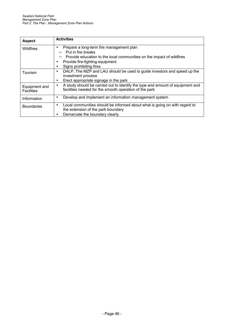| <b>Aspect</b>     | <b>Activities</b>                                                                   |
|-------------------|-------------------------------------------------------------------------------------|
| Wildfires         | Prepare a long-term fire management plan<br>٠                                       |
|                   | Put in fire breaks                                                                  |
|                   | Provide education to the local communities on the impact of wildfires               |
|                   | Provide fire-fighting equipment                                                     |
|                   | Signs prohibiting fires                                                             |
| Tourism           | DALP, The MZP and LAU should be used to guide investors and speed up the            |
|                   | investment process                                                                  |
|                   | Erect appropriate signage in the park<br>٠                                          |
| Equipment and     | A study should be carried out to identify the type and amount of equipment and<br>٠ |
| <b>Facilities</b> | facilities needed for the smooth operation of the park                              |
| Information       | Develop and implement an information management system<br>٠                         |
|                   |                                                                                     |
| <b>Boundaries</b> | Local communities should be informed about what is going on with regard to          |
|                   | the extension of the park boundary                                                  |
|                   | Demarcate the boundary clearly                                                      |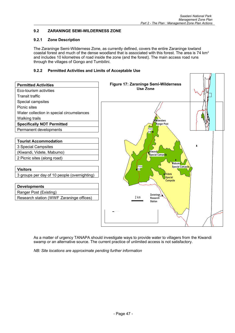#### **9.2 ZARANINGE SEMI-WILDERNESS ZONE**

#### **9.2.1 Zone Description**

The Zaraninge Semi-Wilderness Zone, as currently defined, covers the entire Zaraninge lowland coastal forest and much of the dense woodland that is associated with this forest. The area is 74 km<sup>2</sup> and includes 10 kilometres of road inside the zone (and the forest). The main access road runs through the villages of Gongo and Tumbilini.

#### **9.2.2 Permitted Activities and Limits of Acceptable Use**



As a matter of urgency TANAPA should investigate ways to provide water to villagers from the Kiwandi swamp or an alternative source. The current practice of unlimited access is not satisfactory.

*NB: Site locations are approximate pending further information*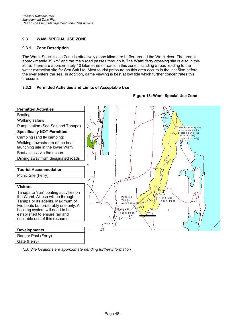#### **9.3 WAMI SPECIAL USE ZONE**

#### **9.3.1 Zone Description**

The Wami Special Use Zone is effectively a one kilometre buffer around the Wami river. The area is approximately 39 km<sup>2</sup> and the main road passes through it. The Wami ferry crossing site is also in this zone. There are approximately 10 kilometres of roads in this zone, including a road leading to the water extraction site for Sea Salt Ltd. Most tourist pressure on this area occurs in the last 5km before the river enters the sea. In addition, game viewing is best at low tide which further concentrates this pressure.

#### **9.3.2 Permitted Activities and Limits of Acceptable Use**

#### **Permitted Activities** Boating Walking safaris Pump station (Sea Salt and Tanapa) TANAPA or its agents to run boating in the **Specifically NOT Permitted** boatable part of the W amiestuary Camping (and fly camping) w am restuary<br>(approx 5 km only) Walking downstream of the boat launching site in the lower Wami Boat access via the ocean a mar Driving away from designated roads Wiver . R**Tourist Accommodation** Picnic Site (Ferry)  $\widetilde{z}$ **Visitors W a m i** Tanapa to "run" boating activities on G a te the Wami. All use will be through P o s s ib le Picnic Site V illa g e Tanapa or its agents. Maximum of R anger Post A c c o m m o c two boats but preferably one only. A **M a tip w i li** booking system will need to be R anger Post  $\lambda$  m established to ensure fair and equitable use of this resource **Developments** Ranger Post (Ferry) Gate (Ferry)

**Figure 18: Wami Special Use Zone**

*NB: Site locations are approximate pending further information*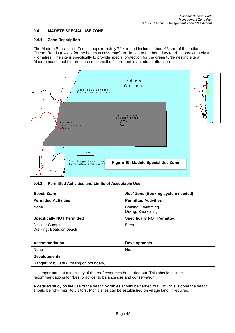#### **9.4 MADETE SPECIAL USE ZONE**

#### **9.4.1 Zone Description**

The Madete Special Use Zone is approximately 72  $km^2$  and includes about 66  $km^2$  of the Indian Ocean. Roads (except for the beach access road) are limited to the boundary road – approximately 6 kilometres. The site is specifically to provide special protection for the green turtle nesting site at Madete beach, but the presence of a small offshore reef is an added attraction.



#### **9.4.2 Permitted Activities and Limits of Acceptable Use**

| <b>Beach Zone</b>                           | <b>Reef Zone (Booking system needed)</b> |
|---------------------------------------------|------------------------------------------|
| <b>Permitted Activities</b>                 | <b>Permitted Activities</b>              |
| None                                        | Boating; Swimming<br>Diving, Snorkelling |
| <b>Specifically NOT Permitted</b>           | <b>Specifically NOT Permitted</b>        |
| Driving; Camping<br>Walking; Boats on beach | Fires                                    |

| <b>Accommodation</b>                    | <b>Developments</b> |
|-----------------------------------------|---------------------|
| None                                    | None                |
| <b>Developments</b>                     |                     |
| Ranger Post/Gate (Existing on boundary) |                     |

It is important that a full study of the reef resources be carried out. This should include recommendations for "best practice" to balance use and conservation.

A detailed study on the use of the beach by turtles should be carried out. Until this is done the beach should be "off-limits" to visitors. Picnic sites can be established on village land, if required.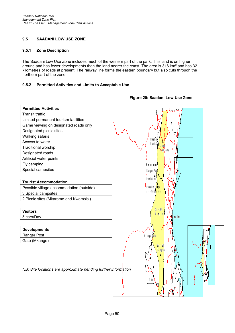#### **9.5 SAADANI LOW USE ZONE**

#### **9.5.1 Zone Description**

The Saadani Low Use Zone includes much of the western part of the park. This land is on higher ground and has fewer developments than the land nearer the coast. The area is 316 km<sup>2</sup> and has 32 kilometres of roads at present. The railway line forms the eastern boundary but also cuts through the northern part of the zone.

#### **9.5.2 Permitted Activities and Limits to Acceptable Use**



#### **Figure 20: Saadani Low Use Zone**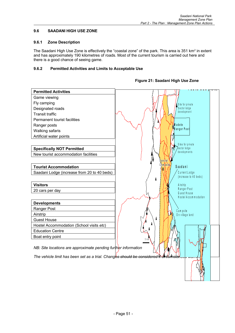#### **9.6 SAADANI HIGH USE ZONE**

#### **9.6.1 Zone Description**

The Saadani High Use Zone is effectively the "coastal zone" of the park. This area is 351 km<sup>2</sup> in extent and has approximately 190 kilometres of roads. Most of the current tourism is carried out here and there is a good chance of seeing game.

#### **9.6.2 Permitted Activities and Limits to Acceptable Use**

| <b>Permitted Activities</b>                                                           | ו שטווע שטווע<br>ש⊤וני              |
|---------------------------------------------------------------------------------------|-------------------------------------|
| Game viewing                                                                          |                                     |
| Fly camping                                                                           | Site for private                    |
| Designated roads                                                                      | Sector lodge                        |
| <b>Transit traffic</b>                                                                | development                         |
| Permanent tourist facilities                                                          |                                     |
| Ranger posts                                                                          | <b>M</b> adete                      |
| Walking safaris                                                                       | Ranger Post                         |
| Artificial water points                                                               |                                     |
|                                                                                       | Sites for private                   |
| <b>Specifically NOT Permitted</b>                                                     | Sector lodge                        |
| New tourist accommodation facilities                                                  | developments                        |
|                                                                                       |                                     |
| <b>Tourist Accommodation</b>                                                          | Cla m p s itje-<br>Saadani          |
| Saadani Lodge (increase from 20 to 40 beds)                                           | Current Lodge                       |
|                                                                                       | (increase to 40 beds)<br>Å          |
| <b>Visitors</b>                                                                       | A irstrip                           |
| 20 cars per day                                                                       | Ranger Post                         |
|                                                                                       | Guest House<br>Hostel Accommodation |
| <b>Developments</b>                                                                   |                                     |
| Ranger Post                                                                           |                                     |
| Airstrip                                                                              | Campsite<br>On village land         |
| <b>Guest House</b>                                                                    | ħ                                   |
| Hostel Accommodation (School visits etc)                                              |                                     |
| <b>Education Centre</b>                                                               |                                     |
| Boat entry point                                                                      | 5 km                                |
|                                                                                       |                                     |
| NB: Site locations are approximate pending further information                        |                                     |
| The vehicle limit has been set as a trial. Changes should be considered if cheumstar. |                                     |
|                                                                                       |                                     |
|                                                                                       |                                     |
|                                                                                       |                                     |
|                                                                                       |                                     |

#### **HHHHHH eeeeee aaaaaa dddddd qqqqqq uuuuuu aaaaaa rrrrrr tttttt eeeeee rrrrrr ssssss Figure 21: Saadani High Use Zone**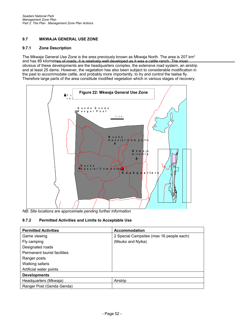#### **9.7 MKWAJA GENERAL USE ZONE**

#### **9.7.1 Zone Description**

The Mkwaja General Use Zone is the area previously known as Mkwaja North. The area is 207  $km^2$ and has 89 kilometres of roads. It is relatively well developed as it was a cattle ranch. The most obvious of these developments are the headquarters complex, the extensive road system, an airstrip and at least 25 dams. However, the vegetation has also been subject to considerable modification in the past to accommodate cattle, and probably more importantly, to try and control the tsetse fly. Therefore large parts of the area constitute modified vegetation which in various stages of recovery.



*NB: Site locations are approximate pending further information*

#### **9.7.2 Permitted Activities and Limits to Acceptable Use**

| <b>Permitted Activities</b>  | <b>Accommodation</b>                     |  |
|------------------------------|------------------------------------------|--|
| Game viewing                 | 2 Special Campsites (max 16 people each) |  |
| Fly camping                  | (Msuko and Nyika)                        |  |
| Designated roads             |                                          |  |
| Permanent tourist facilities |                                          |  |
| Ranger posts                 |                                          |  |
| Walking safaris              |                                          |  |
| Artificial water points      |                                          |  |
| <b>Developments</b>          |                                          |  |
| Headquarters (Mkwaja)        | Airstrip                                 |  |
| Ranger Post (Genda Genda)    |                                          |  |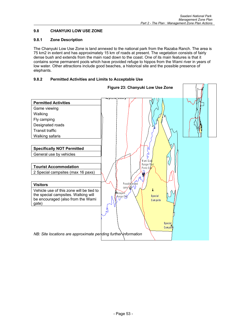#### **9.8 CHANYUKI LOW USE ZONE**

#### **9.8.1 Zone Description**

The Chanyuki Low Use Zone is land annexed to the national park from the Razaba Ranch. The area is 75 km2 in extent and has approximately 15 km of roads at present. The vegetation consists of fairly dense bush and extends from the main road down to the coast. One of its main features is that it contains some permanent pools which have provided refuge to hippos from the Wami river in years of low water. Other attractions include good beaches, a historical site and the possible presence of elephants.

#### **9.8.2 Permitted Activities and Limits to Acceptable Use**

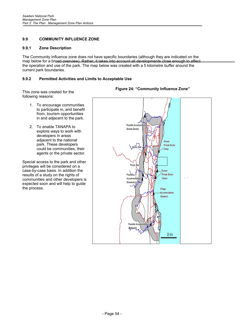#### **9.9 COMMUNITY INFLUENCE ZONE**

#### **9.9.1 Zone Description**

The Community Influence zone does not have specific boundaries (although they are indicated on the map below for a broad overview). Rather, it takes into account all developments close enough to affect the operation and use of the park. The map below was created with a 5 kilometre buffer around the current park boundaries.

#### **9.9.2 Permitted Activities and Limits to Acceptable Use**

This zone was created for the following reasons:

- 1. To encourage communities to participate in, and benefit from, tourism opportunities in and adjacent to the park.
- 2. To enable TANAPA to explore ways to work with developers in areas adjacent to the national park. These developers could be communities, their agents or the private sector.

Special access to the park and other privileges will be considered on a case-by-case basis. In addition the results of a study on the rights of communities and other developers is expected soon and will help to guide the process.



#### **Figure 24: "Community Influence Zone"**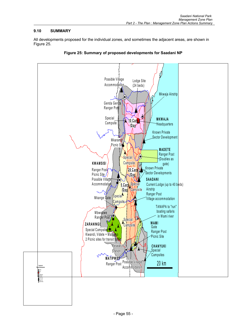#### **9.10 SUMMARY**

All developments proposed for the individual zones, and sometimes the adjacent areas, are shown in Figure 25.



**Figure 25: Summary of proposed developments for Saadani NP**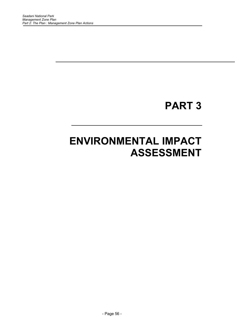# **PART 3**

# **ENVIRONMENTAL IMPACT ASSESSMENT**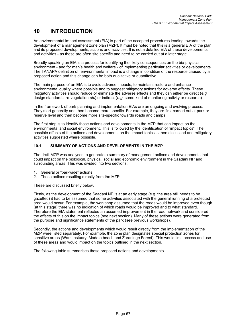## **10 INTRODUCTION**

An environmental impact assessment (EIA) is part of the accepted procedures leading towards the development of a management zone plan (MZP). It must be noted that this is a general EIA of the plan and its proposed developments, actions and activities. It is not a detailed EIA of these developments and activities - as these are often site specific and need to be carried out at a later stage.

Broadly speaking an EIA is a process for identifying the likely consequences on the bio-physical environment - and for man's health and welfare - of implementing particular activities or developments. The TANAPA definition of environmental impact is a change in condition of the resource caused by a proposed action and this change can be both qualitative or quantitative.

The main purpose of an EIA is to avoid adverse impacts, to maintain, restore and enhance environmental quality where possible and to suggest mitigatory actions for adverse effects. These mitigatory activities should reduce or eliminate the adverse effects and they can either be direct (*e.g.* design standards, re-vegetation *etc*) or indirect (*e.g.* some kind of monitoring activity or research)

In the framework of park planning and implementation EIAs are an ongoing and evolving process. They start generally and then become more specific. For example, they are first carried out at park or reserve level and then become more site-specific towards roads and camps.

The first step is to identify those actions and developments in the MZP that can impact on the environmental and social environment. This is followed by the identification of "impact topics". The possible effects of the actions and developments on the impact topics is then discussed and mitigatory activities suggested where possible.

#### **10.1 SUMMARY OF ACTIONS AND DEVELOPMENTS IN THE MZP**

The draft MZP was analysed to generate a summary of management actions and developments that could impact on the biological, physical, social and economic environment in the Saadani NP and surrounding areas. This was divided into two sections:

- 1. General or "parkwide" actions
- 2. Those actions resulting directly from the MZP.

These are discussed briefly below.

Firstly, as the development of the Saadani NP is at an early stage (e.g. the area still needs to be gazetted) it had to be assumed that some activities associated with the general running of a protected area would occur. For example, the workshop assumed that the roads would be improved even though (at this stage) there was no indication of which roads would be improved and to what standard. Therefore the EIA statement reflected an assumed improvement in the road network and considered the effects of this on the impact topics (see next section). Many of these actions were generated from the purpose and significance statements of the park (see previous workshops).

Secondly, the actions and developments which would result directly from the implementation of the MZP were listed separately. For example, the zone plan designates special protection zones for sensitive areas (Wami estuary, Madete beach and Zaraninge Forest). This would limit access and use of these areas and would impact on the topics outlined in the next section.

The following table summarises these proposed actions and developments.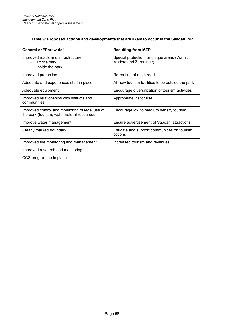#### **Table 9: Proposed actions and developments that are likely to occur in the Saadani NP**

| <b>General or "Parkwide"</b>                                                                   | <b>Resulting from MZP</b>                                           |
|------------------------------------------------------------------------------------------------|---------------------------------------------------------------------|
| Improved roads and infrastructure<br>To the park                                               | Special protection for unique areas (Wami,<br>Madete and Zaraninge) |
| Inside the park                                                                                |                                                                     |
| Improved protection                                                                            | Re-routing of main road                                             |
| Adequate and experienced staff in place                                                        | All new tourism facilities to be outside the park                   |
| Adequate equipment                                                                             | Encourage diversification of tourism activities                     |
| Improved relationships with districts and<br>communities                                       | Appropriate visitor use                                             |
| Improved control and monitoring of legal use of<br>the park (tourism, water natural resources) | Encourage low to medium density tourism                             |
| Improve water management                                                                       | Ensure advertisement of Saadani attractions                         |
| Clearly marked boundary                                                                        | Educate and support communities on tourism<br>options               |
| Improved fire monitoring and management                                                        | Increased tourism and revenues                                      |
| Improved research and monitoring                                                               |                                                                     |
| CCS programme in place                                                                         |                                                                     |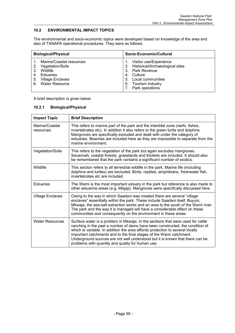#### **10.2 ENVIRONMENTAL IMPACT TOPICS**

The environmental and socio-economic topics were developed based on knowledge of the area and also of TANAPA operational procedures. They were as follows:

| <b>Biological/Physical</b> |                                                                                                                      |    | Socio-Economic/Cultural                                                                                                                                      |
|----------------------------|----------------------------------------------------------------------------------------------------------------------|----|--------------------------------------------------------------------------------------------------------------------------------------------------------------|
| 3.<br>4.                   | Marine/Coastal resources<br>2. Vegetation/Soils<br>Wildlife<br>Estuaries<br>5. Village Enclaves<br>6. Water Resource | 4. | Visitor use/Experience<br>2. Historical/Archaeological sites<br>3. Park Revenue<br>Culture<br>5. Local communities<br>6. Tourism industry<br>Park operations |

A brief description is given below

#### **10.2.1 Biological/Physical**

| <b>Impact Topic</b>         | <b>Brief Description</b>                                                                                                                                                                                                                                                                                                                                                                                                                                       |
|-----------------------------|----------------------------------------------------------------------------------------------------------------------------------------------------------------------------------------------------------------------------------------------------------------------------------------------------------------------------------------------------------------------------------------------------------------------------------------------------------------|
| Marine/Coastal<br>resources | This refers to marine part of the park and the intertidal zone (reefs, fishes,<br>invertebrates etc). In addition it also refers to the green turtle and dolphins.<br>Mangroves are specifically excluded and dealt with under the category of<br>estuaries. Beaches are included here as they are impossible to separate from the<br>marine environment.                                                                                                      |
| Vegetation/Soils            | This refers to the vegetation of the park but again excludes mangroves.<br>Savannah, coastal forests, grasslands and thickets are included. It should also<br>be remembered that the park contains a significant number of exotics.                                                                                                                                                                                                                            |
| Wildlife                    | This section refers to all terrestrial wildlife in the park. Marine life (including<br>dolphins and turtles) are excluded. Birds, reptiles, amphibians, freshwater fish,<br>invertebrates etc are included.                                                                                                                                                                                                                                                    |
| <b>Estuaries</b>            | The Wami is the most important estuary in the park but reference is also made to<br>other estuarine areas (e.g. Mligaji). Mangroves were specifically discussed here.                                                                                                                                                                                                                                                                                          |
| <b>Village Enclaves</b>     | Owing to the way in which Saadani was created there are several "village<br>enclaves" essentially within the park. These include Saadani itself, Buyuni,<br>Mkwaja, the sea-salt extraction works and an area to the south of the Wami river.<br>The park and the way it is managed will have a considerable effect on these<br>communities and consequently on the environment in these areas.                                                                |
| <b>Water Resources</b>      | Surface water is a problem in Mkwaja. In the sections that were used for cattle<br>ranching in the past a number of dams have been constructed, the condition of<br>which is variable. In addition the area affords protection to several locally<br>important catchments and to the final stages of the Wami catchment.<br>Underground sources are not well understood but it is known that there can be<br>problems with quantity and quality for human use. |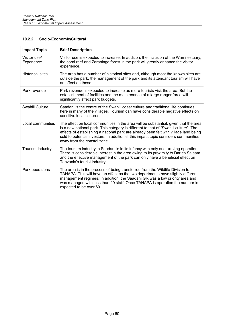#### **10.2.2 Socio-Economic/Cultural**

| <b>Impact Topic</b>        | <b>Brief Description</b>                                                                                                                                                                                                                                                                                                                                                                    |
|----------------------------|---------------------------------------------------------------------------------------------------------------------------------------------------------------------------------------------------------------------------------------------------------------------------------------------------------------------------------------------------------------------------------------------|
| Visitor use/<br>Experience | Visitor use is expected to increase. In addition, the inclusion of the Wami estuary,<br>the coral reef and Zaraninge forest in the park will greatly enhance the visitor<br>experience.                                                                                                                                                                                                     |
| <b>Historical sites</b>    | The area has a number of historical sites and, although most the known sites are<br>outside the park, the management of the park and its attendant tourism will have<br>an effect on these.                                                                                                                                                                                                 |
| Park revenue               | Park revenue is expected to increase as more tourists visit the area. But the<br>establishment of facilities and the maintenance of a large ranger force will<br>significantly affect park budgets.                                                                                                                                                                                         |
| Swahili Culture            | Saadani is the centre of the Swahili coast culture and traditional life continues<br>here in many of the villages. Tourism can have considerable negative effects on<br>sensitive local cultures.                                                                                                                                                                                           |
| Local communities          | The effect on local communities in the area will be substantial, given that the area<br>is a new national park. This category is different to that of "Swahili culture". The<br>effects of establishing a national park are already been felt with village land being<br>sold to potential investors. In additional, this impact topic considers communities<br>away from the coastal zone. |
| Tourism industry           | The tourism industry in Saadani is in its infancy with only one existing operation.<br>There is considerable interest in the area owing to its proximity to Dar es Salaam<br>and the effective management of the park can only have a beneficial effect on<br>Tanzania's tourist industry.                                                                                                  |
| Park operations            | The area is in the process of being transferred from the Wildlife Division to<br>TANAPA. This will have an effect as the two departments have slightly different<br>management regimes. In addition, the Saadani GR was a low priority area and<br>was managed with less than 20 staff. Once TANAPA is operation the number is<br>expected to be over 60.                                   |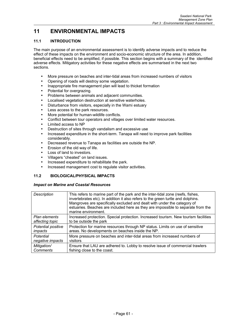## **11 ENVIRONMENTAL IMPACTS**

#### **11.1 INTRODUCTION**

The main purpose of an environmental assessment is to identify adverse impacts and to reduce the effect of these impacts on the environment and socio-economic structure of the area. In addition, beneficial effects need to be amplified, if possible. This section begins with a summary of the identified adverse effects. Mitigatory activities for these negative effects are summarised in the next two sections.

- More pressure on beaches and inter-tidal areas from increased numbers of visitors
- Opening of roads will destroy some vegetation.
- Inappropriate fire management plan will lead to thicket formation
- Potential for overgrazing.
- Problems between animals and adjacent communities.
- Localised vegetation destruction at sensitive waterholes.
- Disturbance from visitors, especially in the Wami estuary
- Less access to the park resources.
- More potential for human-wildlife conflicts.
- Conflict between tour operators and villages over limited water resources.
- Limited access to NP
- Destruction of sites through vandalism and excessive use
- Increased expenditure in the short-term. Tanapa will need to improve park facilities considerably.
- Decreased revenue to Tanapa as facilities are outside the NP.
- Erosion of the old way of life.
- Loss of land to investors.
- Villagers "cheated" on land issues.
- Increased expenditure to rehabilitate the park.
- Increased management cost to regulate visitor activities.

#### **11.2 BIOLOGICAL/PHYSICAL IMPACTS**

#### *Impact on Marine and Coastal Resources*

| Description        | This refers to marine part of the park and the inter-tidal zone (reefs, fishes,<br>invertebrates etc). In addition it also refers to the green turtle and dolphins.<br>Mangroves are specifically excluded and dealt with under the category of<br>estuaries. Beaches are included here as they are impossible to separate from the<br>marine environment. |
|--------------------|------------------------------------------------------------------------------------------------------------------------------------------------------------------------------------------------------------------------------------------------------------------------------------------------------------------------------------------------------------|
| Plan elements      | Increased protection. Special protection. Increased tourism. New tourism facilities                                                                                                                                                                                                                                                                        |
| affecting topic    | to be outside the park                                                                                                                                                                                                                                                                                                                                     |
| Potential positive | Protection for marine resources through NP status. Limits on use of sensitive                                                                                                                                                                                                                                                                              |
| impacts            | areas. No developments on beaches inside the NP.                                                                                                                                                                                                                                                                                                           |
| Potential          | More pressure on beaches and inter-tidal areas from increased numbers of                                                                                                                                                                                                                                                                                   |
| negative impacts   | visitors                                                                                                                                                                                                                                                                                                                                                   |
| Mitigation/        | Ensure that LAU are adhered to. Lobby to resolve issue of commercial trawlers                                                                                                                                                                                                                                                                              |
| <b>Comments</b>    | fishing close to the coast.                                                                                                                                                                                                                                                                                                                                |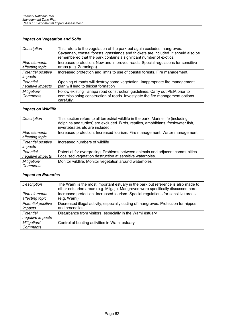### *Impact on Vegetation and Soils*

| Description                      | This refers to the vegetation of the park but again excludes mangroves.<br>Savannah, coastal forests, grasslands and thickets are included. It should also be<br>remembered that the park contains a significant number of exotics. |
|----------------------------------|-------------------------------------------------------------------------------------------------------------------------------------------------------------------------------------------------------------------------------------|
| Plan elements<br>affecting topic | Increased protection. New and improved roads. Special regulations for sensitive<br>areas (e.g. Zaraninge)                                                                                                                           |
| Potential positive<br>impacts    | Increased protection and limits to use of coastal forests. Fire management.                                                                                                                                                         |
| Potential<br>negative impacts    | Opening of roads will destroy some vegetation. Inappropriate fire management<br>plan will lead to thicket formation                                                                                                                 |
| Mitigation/<br>Comments          | Follow existing Tanapa road construction guidelines. Carry out PEIA prior to<br>commissioning construction of roads. Investigate the fire management options<br>carefully.                                                          |

### *Impact on Wildlife*

| <b>Description</b>               | This section refers to all terrestrial wildlife in the park. Marine life (including<br>dolphins and turtles) are excluded. Birds, reptiles, amphibians, freshwater fish,<br>invertebrates etc are included. |
|----------------------------------|-------------------------------------------------------------------------------------------------------------------------------------------------------------------------------------------------------------|
| Plan elements<br>affecting topic | Increased protection. Increased tourism. Fire management. Water management                                                                                                                                  |
| Potential positive<br>impacts    | Increased numbers of wildlife                                                                                                                                                                               |
| Potential<br>negative impacts    | Potential for overgrazing. Problems between animals and adjacent communities.<br>Localised vegetation destruction at sensitive waterholes.                                                                  |
| Mitigation/<br><b>Comments</b>   | Monitor wildlife. Monitor vegetation around waterholes                                                                                                                                                      |

#### *Impact on Estuaries*

| Description                      | The Wami is the most important estuary in the park but reference is also made to<br>other estuarine areas (e.g. Mligaji). Mangroves were specifically discussed here. |
|----------------------------------|-----------------------------------------------------------------------------------------------------------------------------------------------------------------------|
| Plan elements<br>affecting topic | Increased protection. Increased tourism. Special regulations for sensitive areas<br>(e.g. Wami).                                                                      |
| Potential positive<br>impacts    | Decreased illegal activity, especially cutting of mangroves. Protection for hippos<br>and crocodiles                                                                  |
| Potential<br>negative impacts    | Disturbance from visitors, especially in the Wami estuary                                                                                                             |
| Mitigation/<br><b>Comments</b>   | Control of boating activities in Wami estuary                                                                                                                         |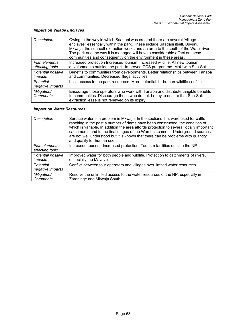### *Impact on Village Enclaves*

| Description                      | Owing to the way in which Saadani was created there are several "village"<br>enclaves" essentially within the park. These include Saadani itself, Buyuni,<br>Mkwaja, the sea-salt extraction works and an area to the south of the Wami river.<br>The park and the way it is managed will have a considerable effect on these<br>communities and consequently on the environment in these areas. |
|----------------------------------|--------------------------------------------------------------------------------------------------------------------------------------------------------------------------------------------------------------------------------------------------------------------------------------------------------------------------------------------------------------------------------------------------|
| Plan elements<br>affecting topic | Increased protection Increased tourism. Increased wildlife. All new tourism<br>developments outside the park. Improved CCS programme. MoU with Sea-Salt.                                                                                                                                                                                                                                         |
| Potential positive<br>impacts    | Benefits to communities from developments. Better relationships between Tanapa<br>and communities. Decreased illegal activities.                                                                                                                                                                                                                                                                 |
| Potential<br>negative impacts    | Less access to the park resources. More potential for human-wildlife conflicts.                                                                                                                                                                                                                                                                                                                  |
| Mitigation/<br><b>Comments</b>   | Encourage those operators who work with Tanapa and distribute tangible benefits<br>to communities. Discourage those who do not. Lobby to ensure that Sea-Salt<br>extraction lease is not renewed on its expiry.                                                                                                                                                                                  |

#### *Impact on Water Resources*

| Description                      | Surface water is a problem in Mkwaja. In the sections that were used for cattle<br>ranching in the past a number of dams have been constructed, the condition of<br>which is variable. In addition the area affords protection to several locally important<br>catchments and to the final stages of the Wami catchment. Underground sources<br>are not well understood but it is known that there can be problems with quantity<br>and quality for human use. |
|----------------------------------|----------------------------------------------------------------------------------------------------------------------------------------------------------------------------------------------------------------------------------------------------------------------------------------------------------------------------------------------------------------------------------------------------------------------------------------------------------------|
| Plan elements<br>affecting topic | Increased tourism. Increased protection. Tourism facilities outside the NP                                                                                                                                                                                                                                                                                                                                                                                     |
| Potential positive<br>impacts    | Improved water for both people and wildlife. Protection to catchments of rivers,<br>especially the Mavave.                                                                                                                                                                                                                                                                                                                                                     |
| Potential<br>negative impacts    | Conflict between tour operators and villages over limited water resources.                                                                                                                                                                                                                                                                                                                                                                                     |
| Mitigation/<br><b>Comments</b>   | Resolve the unlimited access to the water resources of the NP, especially in<br>Zaraninge and Mkwaja South.                                                                                                                                                                                                                                                                                                                                                    |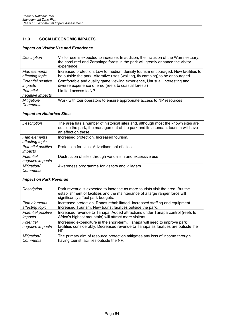#### **11.3 SOCIAL/ECONOMIC IMPACTS**

#### *Impact on Visitor Use and Experience*

| Description                      | Visitor use is expected to increase. In addition, the inclusion of the Wami estuary,<br>the coral reef and Zaraninge forest in the park will greatly enhance the visitor<br>experience. |
|----------------------------------|-----------------------------------------------------------------------------------------------------------------------------------------------------------------------------------------|
| Plan elements<br>affecting topic | Increased protection. Low to medium density tourism encouraged. New facilities to<br>be outside the park. Alterative uses (walking, fly camping) to be encouraged                       |
| Potential positive<br>impacts    | Comfortable and quality game viewing experience, Unusual, interesting and<br>diverse experience offered (reefs to coastal forests)                                                      |
| Potential<br>negative impacts    | Limited access to NP                                                                                                                                                                    |
| Mitigation/<br>Comments          | Work with tour operators to ensure appropriate access to NP resources                                                                                                                   |

#### *Impact on Historical Sites*

| Description                      | The area has a number of historical sites and, although most the known sites are<br>outside the park, the management of the park and its attendant tourism will have<br>an effect on these. |
|----------------------------------|---------------------------------------------------------------------------------------------------------------------------------------------------------------------------------------------|
| Plan elements<br>affecting topic | Increased protection. Increased tourism.                                                                                                                                                    |
| Potential positive<br>impacts    | Protection for sites. Advertisement of sites                                                                                                                                                |
| Potential<br>negative impacts    | Destruction of sites through vandalism and excessive use                                                                                                                                    |
| Mitigation/<br><b>Comments</b>   | Awareness programme for visitors and villagers.                                                                                                                                             |

#### *Impact on Park Revenue*

| <b>Description</b>            | Park revenue is expected to increase as more tourists visit the area. But the<br>establishment of facilities and the maintenance of a large ranger force will<br>significantly affect park budgets. |
|-------------------------------|-----------------------------------------------------------------------------------------------------------------------------------------------------------------------------------------------------|
| Plan elements                 | Increased protection. Roads rehabilitated. Increased staffing and equipment.                                                                                                                        |
| affecting topic               | Increased Tourism. New tourist facilities outside the park.                                                                                                                                         |
| Potential positive            | Increased revenue to Tanapa. Added attractions under Tanapa control (reefs to                                                                                                                       |
| impacts                       | Africa's highest mountain) will attract more visitors.                                                                                                                                              |
| Potential<br>negative impacts | Increased expenditure in the short-term. Tanapa will need to improve park<br>facilities considerably. Decreased revenue to Tanapa as facilities are outside the<br>NP.                              |
| Mitigation/                   | The primary aim of resource protection mitigates any loss of income through                                                                                                                         |
| Comments                      | having tourist facilities outside the NP.                                                                                                                                                           |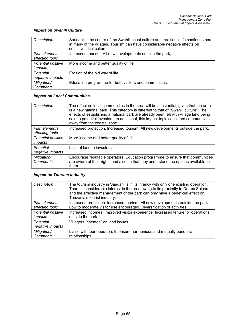### *Impact on Swahili Culture*

| Description                      | Saadani is the centre of the Swahili coast culture and traditional life continues here<br>in many of the villages. Tourism can have considerable negative effects on<br>sensitive local cultures. |
|----------------------------------|---------------------------------------------------------------------------------------------------------------------------------------------------------------------------------------------------|
| Plan elements<br>affecting topic | Increased tourism. All new developments outside the park,                                                                                                                                         |
| Potential positive<br>impacts    | More income and better quality of life.                                                                                                                                                           |
| Potential<br>negative impacts    | Erosion of the old way of life.                                                                                                                                                                   |
| Mitigation/<br><b>Comments</b>   | Education programme for both visitors and communities.                                                                                                                                            |

### *Impact on Local Communities*

| Description                      | The effect on local communities in the area will be substantial, given that the area<br>is a new national park. This category is different to that of "Swahili culture". The<br>effects of establishing a national park are already been felt with village land being<br>sold to potential investors. In additional, this impact topic considers communities<br>away from the coastal zone. |
|----------------------------------|---------------------------------------------------------------------------------------------------------------------------------------------------------------------------------------------------------------------------------------------------------------------------------------------------------------------------------------------------------------------------------------------|
| Plan elements<br>affecting topic | Increased protection. Increased tourism, All new developments outside the park,                                                                                                                                                                                                                                                                                                             |
| Potential positive<br>impacts    | More income and better quality of life.                                                                                                                                                                                                                                                                                                                                                     |
| Potential<br>negative impacts    | Loss of land to investors.                                                                                                                                                                                                                                                                                                                                                                  |
| Mitigation/<br>Comments          | Encourage reputable operators. Education programme to ensure that communities<br>are aware of their rights and also so that they understand the options available to<br>them.                                                                                                                                                                                                               |

#### *Impact on Tourism Industry*

| <b>Description</b>            | The tourism industry in Saadani is in its infancy with only one existing operation.<br>There is considerable interest in the area owing to its proximity to Dar es Salaam<br>and the effective management of the park can only have a beneficial effect on<br>Tanzania's tourist industry. |
|-------------------------------|--------------------------------------------------------------------------------------------------------------------------------------------------------------------------------------------------------------------------------------------------------------------------------------------|
| Plan elements                 | Increased protection. Increased tourism. All new developments outside the park.                                                                                                                                                                                                            |
| affecting topic               | Low to moderate visitor use encouraged. Diversification of activities.                                                                                                                                                                                                                     |
| Potential positive            | Increased incomes. Improved visitor experience. Increased tenure for operations                                                                                                                                                                                                            |
| impacts                       | outside the park                                                                                                                                                                                                                                                                           |
| Potential<br>negative impacts | Villagers "cheated" on land issues.                                                                                                                                                                                                                                                        |
| Mitigation/                   | Liaise with tour operators to ensure harmonious and mutually beneficial                                                                                                                                                                                                                    |
| <b>Comments</b>               | relationships                                                                                                                                                                                                                                                                              |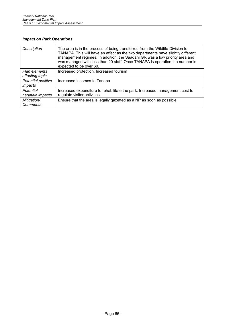### *Impact on Park Operations*

| Description                      | The area is in the process of being transferred from the Wildlife Division to<br>TANAPA. This will have an effect as the two departments have slightly different<br>management regimes. In addition, the Saadani GR was a low priority area and<br>was managed with less than 20 staff. Once TANAPA is operation the number is<br>expected to be over 60. |
|----------------------------------|-----------------------------------------------------------------------------------------------------------------------------------------------------------------------------------------------------------------------------------------------------------------------------------------------------------------------------------------------------------|
| Plan elements<br>affecting topic | Increased protection. Increased tourism                                                                                                                                                                                                                                                                                                                   |
| Potential positive<br>impacts    | Increased incomes to Tanapa                                                                                                                                                                                                                                                                                                                               |
| Potential<br>negative impacts    | Increased expenditure to rehabilitate the park. Increased management cost to<br>regulate visitor activities.                                                                                                                                                                                                                                              |
| Mitigation/<br><b>Comments</b>   | Ensure that the area is legally gazetted as a NP as soon as possible.                                                                                                                                                                                                                                                                                     |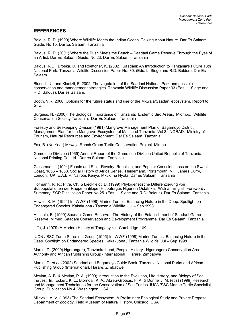#### **REFERENCES**

Baldus, R. D. (1999) Where Wildlife Meets the Indian Ocean. Talking About Nature. Dar Es Salaam Guide, No 15. Dar Es Salaam. Tanzania

Baldus, R. D. (2001) Where the Bush Meets the Beach – Saadani Game Reserve Through the Eyes of an Artist. Dar Es Salaam Guide, No 23. Dar Es Salaam. Tanzania

Baldus, R.D., Broska, D. and Roettcher, K. (2002). Saadani: An Introduction to Tanzania's Future 13th National Park. Tanzania Wildlife Discussion Paper No. 30. (Eds. L. Siege and R.D. Baldus). Dar Es Salaam.

Bloesch, U. and Kloetzli, F. 2002. The vegetation of the Saadani National Park and possible conservation and management strategies. Tanzania Wildlife Discussion Paper 33 (Eds. L. Siege and R.D. Baldus). Dar es Salaam.

Booth, V.R. 2000. Options for the future status and use of the Mkwaja/Saadani ecosystem. Report to GTZ.

Burgess, N. (2000) The Biological Importance of Tanzania: Endemic Bird Areas. Miombo. Wildlife Conservation Society Tanzania. Dar Es Salaam. Tanzania

Forestry and Beekeeping Division (1991) Mangrove Management Plan of Bagamoyo District. Management Plan for the Mangrove Ecosystem of Mainland Tanzania. Vol 3. NORAD. Ministry of Tourism, Natural Resources and Environment. Dar Es Salaam. Tanzania

Fox, B. (No Year) Mkwaja Ranch Green Turtle Conservation Project. Mimeo

Game sub-Division (1969) Annual Report of the Game sub-Division United Republic of Tanzania. National Printing Co. Ltd. Dar es Salaam. Tanzania

Glassman, J. (1994) Feasts and Riot. Revelry, Rebellion, and Popular Consciousness on the Swahili Coast, 1856 – 1888. Social History of Africa Series. Heinemann, Portsmouth, NH. James Curry, London. UK. E.A.E.P. Nairobi. Kenya. Mkuki na Nyota. Dar es Salaam. Tanzania

Hofmann, R. R.; Pitra, Ch. & Lieckfieldt, D. (1999) Phylogenetische Differenzierung von Subpopulationen der Rappenantilope (Hippotragus Niger) in Ostafrika. With an English Foreword / Summary. SCP Discussion Paper No 25. (Eds. L. Siege and R.D. Baldus). Dar Es Salaam. Tanzania

Howell, K. M. (1994) In: WWF (1998) Marine Turtles: Balancing Nature in the Deep. Spotlight on Endangered Species. Kakakuona / Tanzania Wildlife. Jul – Sep 1998

Hussein, B. (1999) Saadani Game Reserve. The History of the Establishment of Saadani Game Reserve, Mimeo, Saadani Conservation and Development Programme. Dar Es Salaam. Tanzania

Iliffe, J. (1979) A Modern History of Tanganyika. Cambridge. UK

IUCN / SSC Turtle Specialist Group (1995) In: WWF (1998) Marine Turtles: Balancing Nature in the Deep. Spotlight on Endangered Species. Kakakuona / Tanzania Wildlife. Jul – Sep 1998

Martin, D. (2000) Ngorongoro, Tanzania. Land, People, History. Ngorongoro Conservation Area Authority and African Publishing Group (International), Harare. Zimbabwe

Martin, D. *et al.* (2002) Saadani and Bagamoyo Guide Book. Tanzania National Parks and African Publishing Group (International), Harare. Zimbabwe

Meylan, A. B. & Meylan, P. A. (1999) Introduction to the Evolution, Life History, and Biology of Sea Turtles. In: Eckert, K. L.; Bjorndal, K. A.; Abreu-Grobois, F. A. & Donnelly, M. (eds) (1999) Research and Management Techniques for the Conservation of Sea Turtles. IUCN/SSC Marine Turtle Specialist Group. Publication No 4. Washington. USA

Milevski, A. V. (1993) The Saadani Ecosystem: A Preliminary Ecological Study and Project Proposal. Department of Zoology, Field Museum of Natural History. Chicago. USA